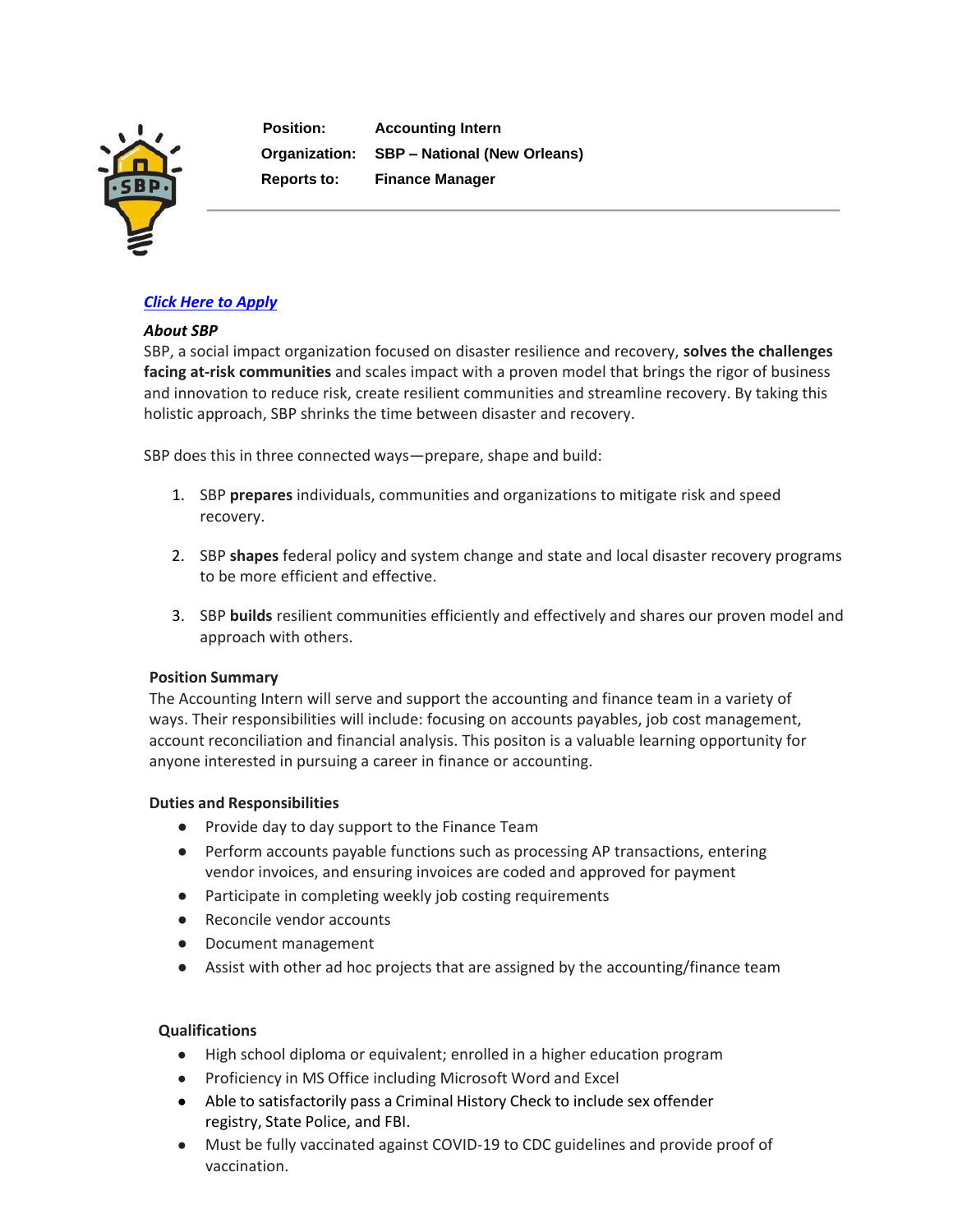

**Position: Accounting Intern Organization: SBP – National (New Orleans) Reports to: Finance Manager**

# *Click Here to [Apply](https://recruiting.paylocity.com/recruiting/jobs/Apply/1106356/SBP/Accounting-Intern)*

### *About SBP*

SBP, a social impact organization focused on disaster resilience and recovery, **solves the challenges facing at-risk communities** and scales impact with a proven model that brings the rigor of business and innovation to reduce risk, create resilient communities and streamline recovery. By taking this holistic approach, SBP shrinks the time between disaster and recovery.

SBP does this in three connected ways—prepare, shape and build:

- 1. SBP **prepares** individuals, communities and organizations to mitigate risk and speed recovery.
- 2. SBP **shapes** federal policy and system change and state and local disaster recovery programs to be more efficient and effective.
- 3. SBP **builds** resilient communities efficiently and effectively and shares our proven model and approach with others.

#### **Position Summary**

The Accounting Intern will serve and support the accounting and finance team in a variety of ways. Their responsibilities will include: focusing on accounts payables, job cost management, account reconciliation and financial analysis. This positon is a valuable learning opportunity for anyone interested in pursuing a career in finance or accounting.

#### **Duties and Responsibilities**

- Provide day to day support to the Finance Team
- Perform accounts payable functions such as processing AP transactions, entering vendor invoices, and ensuring invoices are coded and approved for payment
- Participate in completing weekly job costing requirements
- Reconcile vendor accounts
- Document management
- Assist with other ad hoc projects that are assigned by the accounting/finance team

# **Qualifications**

- High school diploma or equivalent; enrolled in a higher education program
- Proficiency in MS Office including Microsoft Word and Excel
- Able to satisfactorily pass a Criminal History Check to include sex offender registry, State Police, and FBI.
- Must be fully vaccinated against COVID-19 to CDC guidelines and provide proof of vaccination.